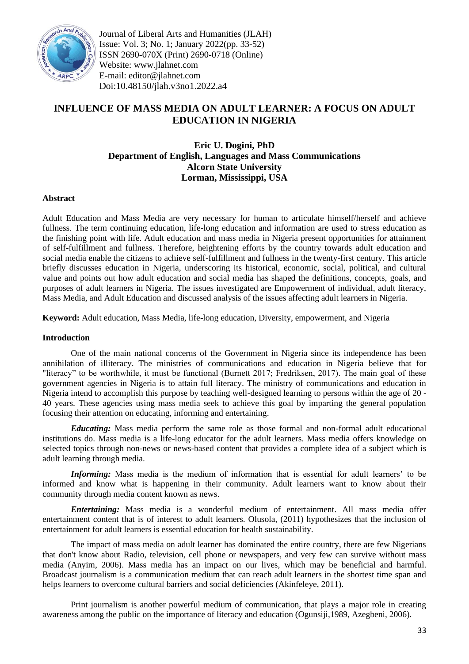

Journal of Liberal Arts and Humanities (JLAH) Issue: Vol. 3; No. 1; January 2022(pp. 33-52) ISSN 2690-070X (Print) 2690-0718 (Online) Website: www.jlahnet.com E-mail: editor@jlahnet.com Doi:10.48150/jlah.v3no1.2022.a4

# **INFLUENCE OF MASS MEDIA ON ADULT LEARNER: A FOCUS ON ADULT EDUCATION IN NIGERIA**

# **Eric U. Dogini, PhD Department of English, Languages and Mass Communications Alcorn State University Lorman, Mississippi, USA**

## **Abstract**

Adult Education and Mass Media are very necessary for human to articulate himself/herself and achieve fullness. The term continuing education, life-long education and information are used to stress education as the finishing point with life. Adult education and mass media in Nigeria present opportunities for attainment of self-fulfillment and fullness. Therefore, heightening efforts by the country towards adult education and social media enable the citizens to achieve self-fulfillment and fullness in the twenty-first century. This article briefly discusses education in Nigeria, underscoring its historical, economic, social, political, and cultural value and points out how adult education and social media has shaped the definitions, concepts, goals, and purposes of adult learners in Nigeria. The issues investigated are Empowerment of individual, adult literacy, Mass Media, and Adult Education and discussed analysis of the issues affecting adult learners in Nigeria.

**Keyword:** Adult education, Mass Media, life-long education, Diversity, empowerment, and Nigeria

## **Introduction**

One of the main national concerns of the Government in Nigeria since its independence has been annihilation of illiteracy. The ministries of communications and education in Nigeria believe that for "literacy" to be worthwhile, it must be functional (Burnett 2017; Fredriksen, 2017). The main goal of these government agencies in Nigeria is to attain full literacy. The ministry of communications and education in Nigeria intend to accomplish this purpose by teaching well-designed learning to persons within the age of 20 - 40 years. These agencies using mass media seek to achieve this goal by imparting the general population focusing their attention on educating, informing and entertaining.

*Educating:* Mass media perform the same role as those formal and non-formal adult educational institutions do. Mass media is a life-long educator for the adult learners. Mass media offers knowledge on selected topics through non-news or news-based content that provides a complete idea of a subject which is adult learning through media.

*Informing:* Mass media is the medium of information that is essential for adult learners' to be informed and know what is happening in their community. Adult learners want to know about their community through media content known as news.

*Entertaining:* Mass media is a wonderful medium of entertainment. All mass media offer entertainment content that is of interest to adult learners. Olusola, (2011) hypothesizes that the inclusion of entertainment for adult learners is essential education for health sustainability.

The impact of mass media on adult learner has dominated the entire country, there are few Nigerians that don't know about Radio, television, cell phone or newspapers, and very few can survive without mass media (Anyim, 2006). Mass media has an impact on our lives, which may be beneficial and harmful. Broadcast journalism is a communication medium that can reach adult learners in the shortest time span and helps learners to overcome cultural barriers and social deficiencies (Akinfeleye, 2011).

Print journalism is another powerful medium of communication, that plays a major role in creating awareness among the public on the importance of literacy and education (Ogunsiji,1989, Azegbeni, 2006).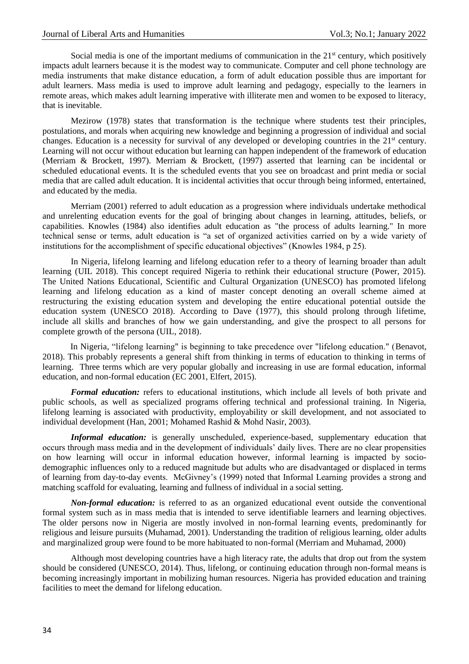Social media is one of the important mediums of communication in the  $21<sup>st</sup>$  century, which positively impacts adult learners because it is the modest way to communicate. Computer and cell phone technology are media instruments that make distance education, a form of adult education possible thus are important for adult learners. Mass media is used to improve adult learning and pedagogy, especially to the learners in remote areas, which makes adult learning imperative with illiterate men and women to be exposed to literacy, that is inevitable.

Mezirow (1978) states that transformation is the technique where students test their principles, postulations, and morals when acquiring new knowledge and beginning a progression of individual and social changes. Education is a necessity for survival of any developed or developing countries in the 21st century. Learning will not occur without education but learning can happen independent of the framework of education (Merriam & Brockett, 1997). Merriam & Brockett, (1997) asserted that learning can be incidental or scheduled educational events. It is the scheduled events that you see on broadcast and print media or social media that are called adult education. It is incidental activities that occur through being informed, entertained, and educated by the media.

Merriam (2001) referred to adult education as a progression where individuals undertake methodical and unrelenting education events for the goal of bringing about changes in learning, attitudes, beliefs, or capabilities. Knowles (1984) also identifies adult education as "the process of adults learning." In more technical sense or terms, adult education is "a set of organized activities carried on by a wide variety of institutions for the accomplishment of specific educational objectives" (Knowles 1984, p 25).

In Nigeria, lifelong learning and lifelong education refer to a theory of learning broader than adult learning (UIL 2018). This concept required Nigeria to rethink their educational structure (Power, 2015). The United Nations Educational, Scientific and Cultural Organization (UNESCO) has promoted lifelong learning and lifelong education as a kind of master concept denoting an overall scheme aimed at restructuring the existing education system and developing the entire educational potential outside the education system (UNESCO 2018). According to Dave (1977), this should prolong through lifetime, include all skills and branches of how we gain understanding, and give the prospect to all persons for complete growth of the persona (UIL, 2018).

In Nigeria, "lifelong learning" is beginning to take precedence over "lifelong education." (Benavot, 2018). This probably represents a general shift from thinking in terms of education to thinking in terms of learning. Three terms which are very popular globally and increasing in use are formal education, informal education, and non-formal education (EC 2001, Elfert, 2015).

*Formal education:* refers to educational institutions, which include all levels of both private and public schools, as well as specialized programs offering technical and professional training. In Nigeria, lifelong learning is associated with productivity, employability or skill development, and not associated to individual development (Han, 2001; Mohamed Rashid & Mohd Nasir, 2003).

*Informal education:* is generally unscheduled, experience-based, supplementary education that occurs through mass media and in the development of individuals' daily lives. There are no clear propensities on how learning will occur in informal education however, informal learning is impacted by sociodemographic influences only to a reduced magnitude but adults who are disadvantaged or displaced in terms of learning from day-to-day events. McGivney's (1999) noted that Informal Learning provides a strong and matching scaffold for evaluating, learning and fullness of individual in a social setting.

*Non-formal education:* is referred to as an organized educational event outside the conventional formal system such as in mass media that is intended to serve identifiable learners and learning objectives. The older persons now in Nigeria are mostly involved in non-formal learning events, predominantly for religious and leisure pursuits (Muhamad, 2001). Understanding the tradition of religious learning, older adults and marginalized group were found to be more habituated to non-formal (Merriam and Muhamad, 2000)

Although most developing countries have a high literacy rate, the adults that drop out from the system should be considered (UNESCO, 2014). Thus, lifelong, or continuing education through non-formal means is becoming increasingly important in mobilizing human resources. Nigeria has provided education and training facilities to meet the demand for lifelong education.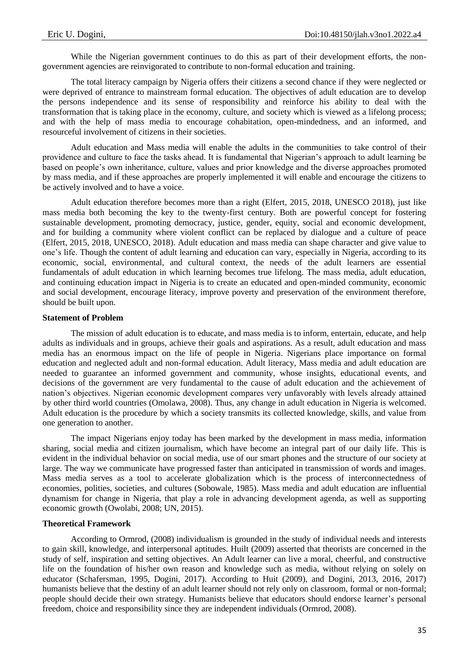While the Nigerian government continues to do this as part of their development efforts, the nongovernment agencies are reinvigorated to contribute to non-formal education and training.

The total literacy campaign by Nigeria offers their citizens a second chance if they were neglected or were deprived of entrance to mainstream formal education. The objectives of adult education are to develop the persons independence and its sense of responsibility and reinforce his ability to deal with the transformation that is taking place in the economy, culture, and society which is viewed as a lifelong process; and with the help of mass media to encourage cohabitation, open-mindedness, and an informed, and resourceful involvement of citizens in their societies.

Adult education and Mass media will enable the adults in the communities to take control of their providence and culture to face the tasks ahead. It is fundamental that Nigerian's approach to adult learning be based on people's own inheritance, culture, values and prior knowledge and the diverse approaches promoted by mass media, and if these approaches are properly implemented it will enable and encourage the citizens to be actively involved and to have a voice.

Adult education therefore becomes more than a right (Elfert, 2015, 2018, UNESCO 2018), just like mass media both becoming the key to the twenty-first century. Both are powerful concept for fostering sustainable development, promoting democracy, justice, gender, equity, social and economic development, and for building a community where violent conflict can be replaced by dialogue and a culture of peace (Elfert, 2015, 2018, UNESCO, 2018). Adult education and mass media can shape character and give value to one's life. Though the content of adult learning and education can vary, especially in Nigeria, according to its economic, social, environmental, and cultural context, the needs of the adult learners are essential fundamentals of adult education in which learning becomes true lifelong. The mass media, adult education, and continuing education impact in Nigeria is to create an educated and open-minded community, economic and social development, encourage literacy, improve poverty and preservation of the environment therefore, should be built upon.

## **Statement of Problem**

The mission of adult education is to educate, and mass media is to inform, entertain, educate, and help adults as individuals and in groups, achieve their goals and aspirations. As a result, adult education and mass media has an enormous impact on the life of people in Nigeria. Nigerians place importance on formal education and neglected adult and non-formal education. Adult literacy, Mass media and adult education are needed to guarantee an informed government and community, whose insights, educational events, and decisions of the government are very fundamental to the cause of adult education and the achievement of nation's objectives. Nigerian economic development compares very unfavorably with levels already attained by other third world countries (Omolawa, 2008). Thus, any change in adult education in Nigeria is welcomed. Adult education is the procedure by which a society transmits its collected knowledge, skills, and value from one generation to another.

The impact Nigerians enjoy today has been marked by the development in mass media, information sharing, social media and citizen journalism, which have become an integral part of our daily life. This is evident in the individual behavior on social media, use of our smart phones and the structure of our society at large. The way we communicate have progressed faster than anticipated in transmission of words and images. Mass media serves as a tool to accelerate globalization which is the process of interconnectedness of economies, polities, societies, and cultures (Sobowale, 1985). Mass media and adult education are influential dynamism for change in Nigeria, that play a role in advancing development agenda, as well as supporting economic growth (Owolabi, 2008; UN, 2015).

## **Theoretical Framework**

According to Ormrod, (2008) individualism is grounded in the study of individual needs and interests to gain skill, knowledge, and interpersonal aptitudes. Huilt (2009) asserted that theorists are concerned in the study of self, inspiration and setting objectives. An Adult learner can live a moral, cheerful, and constructive life on the foundation of his/her own reason and knowledge such as media, without relying on solely on educator (Schafersman, 1995, Dogini, 2017). According to Huit (2009), and Dogini, 2013, 2016, 2017) humanists believe that the destiny of an adult learner should not rely only on classroom, formal or non-formal; people should decide their own strategy. Humanists believe that educators should endorse learner's personal freedom, choice and responsibility since they are independent individuals (Ormrod, 2008).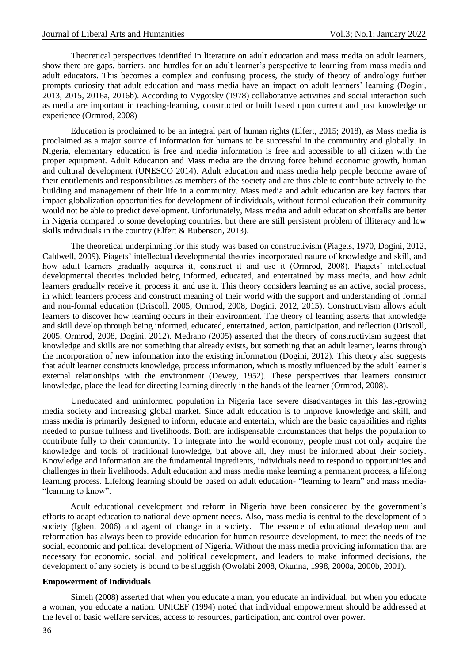Theoretical perspectives identified in literature on adult education and mass media on adult learners, show there are gaps, barriers, and hurdles for an adult learner's perspective to learning from mass media and adult educators. This becomes a complex and confusing process, the study of theory of andrology further prompts curiosity that adult education and mass media have an impact on adult learners' learning (Dogini, 2013, 2015, 2016a, 2016b). According to Vygotsky (1978) collaborative activities and social interaction such as media are important in teaching-learning, constructed or built based upon current and past knowledge or experience (Ormrod, 2008)

Education is proclaimed to be an integral part of human rights (Elfert, 2015; 2018), as Mass media is proclaimed as a major source of information for humans to be successful in the community and globally. In Nigeria, elementary education is free and media information is free and accessible to all citizen with the proper equipment. Adult Education and Mass media are the driving force behind economic growth, human and cultural development (UNESCO 2014). Adult education and mass media help people become aware of their entitlements and responsibilities as members of the society and are thus able to contribute actively to the building and management of their life in a community. Mass media and adult education are key factors that impact globalization opportunities for development of individuals, without formal education their community would not be able to predict development. Unfortunately, Mass media and adult education shortfalls are better in Nigeria compared to some developing countries, but there are still persistent problem of illiteracy and low skills individuals in the country (Elfert & Rubenson, 2013).

The theoretical underpinning for this study was based on constructivism (Piagets, 1970, Dogini, 2012, Caldwell, 2009). Piagets' intellectual developmental theories incorporated nature of knowledge and skill, and how adult learners gradually acquires it, construct it and use it (Ormrod, 2008). Piagets' intellectual developmental theories included being informed, educated, and entertained by mass media, and how adult learners gradually receive it, process it, and use it. This theory considers learning as an active, social process, in which learners process and construct meaning of their world with the support and understanding of formal and non-formal education (Driscoll, 2005; Ormrod, 2008, Dogini, 2012, 2015). Constructivism allows adult learners to discover how learning occurs in their environment. The theory of learning asserts that knowledge and skill develop through being informed, educated, entertained, action, participation, and reflection (Driscoll, 2005, Ormrod, 2008, Dogini, 2012). Medrano (2005) asserted that the theory of constructivism suggest that knowledge and skills are not something that already exists, but something that an adult learner, learns through the incorporation of new information into the existing information (Dogini, 2012). This theory also suggests that adult learner constructs knowledge, process information, which is mostly influenced by the adult learner's external relationships with the environment (Dewey, 1952). These perspectives that learners construct knowledge, place the lead for directing learning directly in the hands of the learner (Ormrod, 2008).

Uneducated and uninformed population in Nigeria face severe disadvantages in this fast-growing media society and increasing global market. Since adult education is to improve knowledge and skill, and mass media is primarily designed to inform, educate and entertain, which are the basic capabilities and rights needed to pursue fullness and livelihoods. Both are indispensable circumstances that helps the population to contribute fully to their community. To integrate into the world economy, people must not only acquire the knowledge and tools of traditional knowledge, but above all, they must be informed about their society. Knowledge and information are the fundamental ingredients, individuals need to respond to opportunities and challenges in their livelihoods. Adult education and mass media make learning a permanent process, a lifelong learning process. Lifelong learning should be based on adult education- "learning to learn" and mass media- "learning to know".

Adult educational development and reform in Nigeria have been considered by the government's efforts to adapt education to national development needs. Also, mass media is central to the development of a society (Igben, 2006) and agent of change in a society. The essence of educational development and reformation has always been to provide education for human resource development, to meet the needs of the social, economic and political development of Nigeria. Without the mass media providing information that are necessary for economic, social, and political development, and leaders to make informed decisions, the development of any society is bound to be sluggish (Owolabi 2008, Okunna, 1998, 2000a, 2000b, 2001).

#### **Empowerment of Individuals**

Simeh (2008) asserted that when you educate a man, you educate an individual, but when you educate a woman, you educate a nation. UNICEF (1994) noted that individual empowerment should be addressed at the level of basic welfare services, access to resources, participation, and control over power.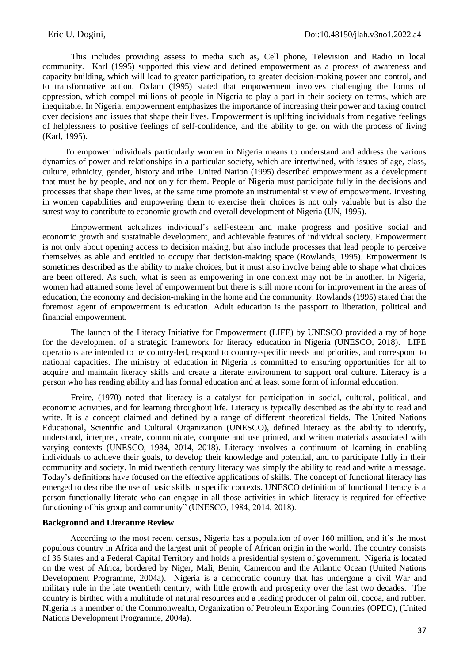This includes providing assess to media such as, Cell phone, Television and Radio in local community. Karl (1995) supported this view and defined empowerment as a process of awareness and capacity building, which will lead to greater participation, to greater decision-making power and control, and to transformative action. Oxfam (1995) stated that empowerment involves challenging the forms of oppression, which compel millions of people in Nigeria to play a part in their society on terms, which are inequitable. In Nigeria, empowerment emphasizes the importance of increasing their power and taking control over decisions and issues that shape their lives. Empowerment is uplifting individuals from negative feelings of helplessness to positive feelings of self-confidence, and the ability to get on with the process of living (Karl, 1995).

To empower individuals particularly women in Nigeria means to understand and address the various dynamics of power and relationships in a particular society, which are intertwined, with issues of age, class, culture, ethnicity, gender, history and tribe. United Nation (1995) described empowerment as a development that must be by people, and not only for them. People of Nigeria must participate fully in the decisions and processes that shape their lives, at the same time promote an instrumentalist view of empowerment. Investing in women capabilities and empowering them to exercise their choices is not only valuable but is also the surest way to contribute to economic growth and overall development of Nigeria (UN, 1995).

Empowerment actualizes individual's self-esteem and make progress and positive social and economic growth and sustainable development, and achievable features of individual society. Empowerment is not only about opening access to decision making, but also include processes that lead people to perceive themselves as able and entitled to occupy that decision-making space (Rowlands, 1995). Empowerment is sometimes described as the ability to make choices, but it must also involve being able to shape what choices are been offered. As such, what is seen as empowering in one context may not be in another. In Nigeria, women had attained some level of empowerment but there is still more room for improvement in the areas of education, the economy and decision-making in the home and the community. Rowlands (1995) stated that the foremost agent of empowerment is education. Adult education is the passport to liberation, political and financial empowerment.

The launch of the Literacy Initiative for Empowerment (LIFE) by UNESCO provided a ray of hope for the development of a strategic framework for literacy education in Nigeria (UNESCO, 2018). LIFE operations are intended to be country-led, respond to country-specific needs and priorities, and correspond to national capacities. The ministry of education in Nigeria is committed to ensuring opportunities for all to acquire and maintain literacy skills and create a literate environment to support oral culture. Literacy is a person who has reading ability and has formal education and at least some form of informal education.

Freire, (1970) noted that literacy is a catalyst for participation in social, cultural, political, and economic activities, and for learning throughout life. Literacy is typically described as the ability to read and write. It is a concept claimed and defined by a range of different theoretical fields. The United Nations Educational, Scientific and Cultural Organization (UNESCO), defined literacy as the ability to identify, understand, interpret, create, communicate, compute and use printed, and written materials associated with varying contexts (UNESCO, 1984, 2014, 2018). Literacy involves a continuum of learning in enabling individuals to achieve their goals, to develop their knowledge and potential, and to participate fully in their community and society. In mid twentieth century literacy was simply the ability to read and write a message. Today's definitions have focused on the effective applications of skills. The concept of functional literacy has emerged to describe the use of basic skills in specific contexts. UNESCO definition of functional literacy is a person functionally literate who can engage in all those activities in which literacy is required for effective functioning of his group and community" (UNESCO, 1984, 2014, 2018).

## **Background and Literature Review**

According to the most recent census, Nigeria has a population of over 160 million, and it's the most populous country in Africa and the largest unit of people of African origin in the world. The country consists of 36 States and a Federal Capital Territory and holds a presidential system of government. Nigeria is located on the west of Africa, bordered by Niger, Mali, Benin, Cameroon and the Atlantic Ocean (United Nations Development Programme, 2004a). Nigeria is a democratic country that has undergone a civil War and military rule in the late twentieth century, with little growth and prosperity over the last two decades. The country is birthed with a multitude of natural resources and a leading producer of palm oil, cocoa, and rubber. Nigeria is a member of the Commonwealth, Organization of Petroleum Exporting Countries (OPEC), (United Nations Development Programme, 2004a).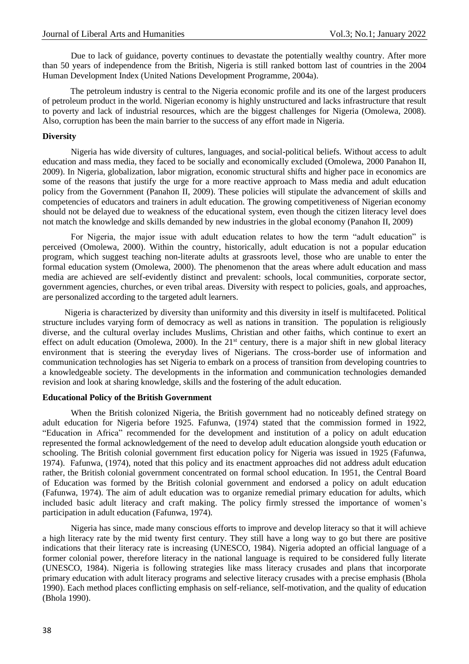Due to lack of guidance, poverty continues to devastate the potentially wealthy country. After more than 50 years of independence from the British, Nigeria is still ranked bottom last of countries in the 2004 Human Development Index (United Nations Development Programme, 2004a).

The petroleum industry is central to the Nigeria economic profile and its one of the largest producers of petroleum product in the world. Nigerian economy is highly unstructured and lacks infrastructure that result to poverty and lack of industrial resources, which are the biggest challenges for Nigeria (Omolewa, 2008). Also, corruption has been the main barrier to the success of any effort made in Nigeria.

## **Diversity**

Nigeria has wide diversity of cultures, languages, and social-political beliefs. Without access to adult education and mass media, they faced to be socially and economically excluded (Omolewa, 2000 Panahon II, 2009). In Nigeria, globalization, labor migration, economic structural shifts and higher pace in economics are some of the reasons that justify the urge for a more reactive approach to Mass media and adult education policy from the Government (Panahon II, 2009). These policies will stipulate the advancement of skills and competencies of educators and trainers in adult education. The growing competitiveness of Nigerian economy should not be delayed due to weakness of the educational system, even though the citizen literacy level does not match the knowledge and skills demanded by new industries in the global economy (Panahon II, 2009)

For Nigeria, the major issue with adult education relates to how the term "adult education" is perceived (Omolewa, 2000). Within the country, historically, adult education is not a popular education program, which suggest teaching non-literate adults at grassroots level, those who are unable to enter the formal education system (Omolewa, 2000). The phenomenon that the areas where adult education and mass media are achieved are self-evidently distinct and prevalent: schools, local communities, corporate sector, government agencies, churches, or even tribal areas. Diversity with respect to policies, goals, and approaches, are personalized according to the targeted adult learners.

Nigeria is characterized by diversity than uniformity and this diversity in itself is multifaceted. Political structure includes varying form of democracy as well as nations in transition. The population is religiously diverse, and the cultural overlay includes Muslims, Christian and other faiths, which continue to exert an effect on adult education (Omolewa, 2000). In the  $21<sup>st</sup>$  century, there is a major shift in new global literacy environment that is steering the everyday lives of Nigerians. The cross-border use of information and communication technologies has set Nigeria to embark on a process of transition from developing countries to a knowledgeable society. The developments in the information and communication technologies demanded revision and look at sharing knowledge, skills and the fostering of the adult education.

### **Educational Policy of the British Government**

When the British colonized Nigeria, the British government had no noticeably defined strategy on adult education for Nigeria before 1925. Fafunwa, (1974) stated that the commission formed in 1922, "Education in Africa" recommended for the development and institution of a policy on adult education represented the formal acknowledgement of the need to develop adult education alongside youth education or schooling. The British colonial government first education policy for Nigeria was issued in 1925 (Fafunwa, 1974). Fafunwa, (1974), noted that this policy and its enactment approaches did not address adult education rather, the British colonial government concentrated on formal school education. In 1951, the Central Board of Education was formed by the British colonial government and endorsed a policy on adult education (Fafunwa, 1974). The aim of adult education was to organize remedial primary education for adults, which included basic adult literacy and craft making. The policy firmly stressed the importance of women's participation in adult education (Fafunwa, 1974).

Nigeria has since, made many conscious efforts to improve and develop literacy so that it will achieve a high literacy rate by the mid twenty first century. They still have a long way to go but there are positive indications that their literacy rate is increasing (UNESCO, 1984). Nigeria adopted an official language of a former colonial power, therefore literacy in the national language is required to be considered fully literate (UNESCO, 1984). Nigeria is following strategies like mass literacy crusades and plans that incorporate primary education with adult literacy programs and selective literacy crusades with a precise emphasis (Bhola 1990). Each method places conflicting emphasis on self-reliance, self-motivation, and the quality of education (Bhola 1990).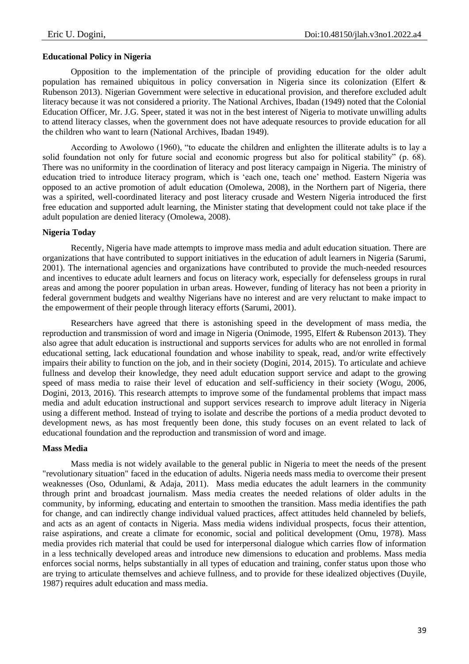## **Educational Policy in Nigeria**

Opposition to the implementation of the principle of providing education for the older adult population has remained ubiquitous in policy conversation in Nigeria since its colonization (Elfert & Rubenson 2013). Nigerian Government were selective in educational provision, and therefore excluded adult literacy because it was not considered a priority. The National Archives, Ibadan (1949) noted that the Colonial Education Officer, Mr. J.G. Speer, stated it was not in the best interest of Nigeria to motivate unwilling adults to attend literacy classes, when the government does not have adequate resources to provide education for all the children who want to learn (National Archives, Ibadan 1949).

According to Awolowo (1960), "to educate the children and enlighten the illiterate adults is to lay a solid foundation not only for future social and economic progress but also for political stability" (p. 68). There was no uniformity in the coordination of literacy and post literacy campaign in Nigeria. The ministry of education tried to introduce literacy program, which is 'each one, teach one' method. Eastern Nigeria was opposed to an active promotion of adult education (Omolewa, 2008), in the Northern part of Nigeria, there was a spirited, well-coordinated literacy and post literacy crusade and Western Nigeria introduced the first free education and supported adult learning, the Minister stating that development could not take place if the adult population are denied literacy (Omolewa, 2008).

### **Nigeria Today**

Recently, Nigeria have made attempts to improve mass media and adult education situation. There are organizations that have contributed to support initiatives in the education of adult learners in Nigeria (Sarumi, 2001). The international agencies and organizations have contributed to provide the much-needed resources and incentives to educate adult learners and focus on literacy work, especially for defenseless groups in rural areas and among the poorer population in urban areas. However, funding of literacy has not been a priority in federal government budgets and wealthy Nigerians have no interest and are very reluctant to make impact to the empowerment of their people through literacy efforts (Sarumi, 2001).

Researchers have agreed that there is astonishing speed in the development of mass media, the reproduction and transmission of word and image in Nigeria (Onimode, 1995, Elfert & Rubenson 2013). They also agree that adult education is instructional and supports services for adults who are not enrolled in formal educational setting, lack educational foundation and whose inability to speak, read, and/or write effectively impairs their ability to function on the job, and in their society (Dogini, 2014, 2015). To articulate and achieve fullness and develop their knowledge, they need adult education support service and adapt to the growing speed of mass media to raise their level of education and self-sufficiency in their society (Wogu, 2006, Dogini, 2013, 2016). This research attempts to improve some of the fundamental problems that impact mass media and adult education instructional and support services research to improve adult literacy in Nigeria using a different method. Instead of trying to isolate and describe the portions of a media product devoted to development news, as has most frequently been done, this study focuses on an event related to lack of educational foundation and the reproduction and transmission of word and image.

#### **Mass Media**

Mass media is not widely available to the general public in Nigeria to meet the needs of the present "revolutionary situation" faced in the education of adults. Nigeria needs mass media to overcome their present weaknesses (Oso, Odunlami, & Adaja, 2011). Mass media educates the adult learners in the community through print and broadcast journalism. Mass media creates the needed relations of older adults in the community, by informing, educating and entertain to smoothen the transition. Mass media identifies the path for change, and can indirectly change individual valued practices, affect attitudes held channeled by beliefs, and acts as an agent of contacts in Nigeria. Mass media widens individual prospects, focus their attention, raise aspirations, and create a climate for economic, social and political development (Omu, 1978). Mass media provides rich material that could be used for interpersonal dialogue which carries flow of information in a less technically developed areas and introduce new dimensions to education and problems. Mass media enforces social norms, helps substantially in all types of education and training, confer status upon those who are trying to articulate themselves and achieve fullness, and to provide for these idealized objectives (Duyile, 1987) requires adult education and mass media.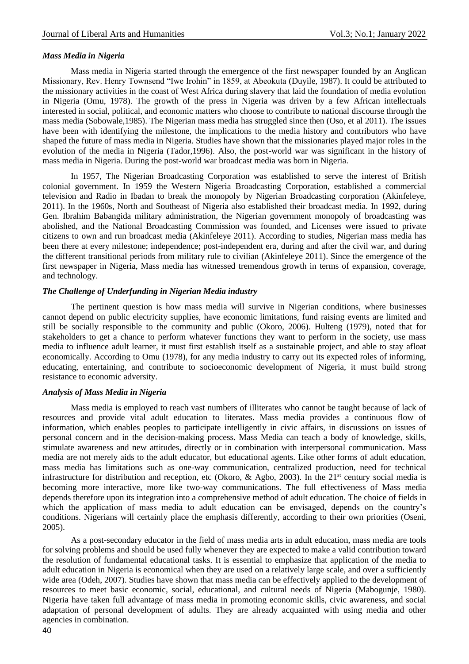#### *Mass Media in Nigeria*

Mass media in Nigeria started through the emergence of the first newspaper founded by an Anglican Missionary, Rev. Henry Townsend "Iwe Irohin" in 1859, at Abeokuta (Duyile, 1987). It could be attributed to the missionary activities in the coast of West Africa during slavery that laid the foundation of media evolution in Nigeria (Omu, 1978). The growth of the press in Nigeria was driven by a few African intellectuals interested in social, political, and economic matters who choose to contribute to national discourse through the mass media (Sobowale,1985). The Nigerian mass media has struggled since then (Oso, et al 2011). The issues have been with identifying the milestone, the implications to the media history and contributors who have shaped the future of mass media in Nigeria. Studies have shown that the missionaries played major roles in the evolution of the media in Nigeria (Tador,1996). Also, the post-world war was significant in the history of mass media in Nigeria. During the post-world war broadcast media was born in Nigeria.

In 1957, The Nigerian Broadcasting Corporation was established to serve the interest of British colonial government. In 1959 the Western Nigeria Broadcasting Corporation, established a commercial television and Radio in Ibadan to break the monopoly by Nigerian Broadcasting corporation (Akinfeleye, 2011). In the 1960s, North and Southeast of Nigeria also established their broadcast media. In 1992, during Gen. Ibrahim Babangida military administration, the Nigerian government monopoly of broadcasting was abolished, and the National Broadcasting Commission was founded, and Licenses were issued to private citizens to own and run broadcast media (Akinfeleye 2011). According to studies, Nigerian mass media has been there at every milestone; independence; post-independent era, during and after the civil war, and during the different transitional periods from military rule to civilian (Akinfeleye 2011). Since the emergence of the first newspaper in Nigeria, Mass media has witnessed tremendous growth in terms of expansion, coverage, and technology.

### *The Challenge of Underfunding in Nigerian Media industry*

The pertinent question is how mass media will survive in Nigerian conditions, where businesses cannot depend on public electricity supplies, have economic limitations, fund raising events are limited and still be socially responsible to the community and public (Okoro, 2006). Hulteng (1979), noted that for stakeholders to get a chance to perform whatever functions they want to perform in the society, use mass media to influence adult learner, it must first establish itself as a sustainable project, and able to stay afloat economically. According to Omu (1978), for any media industry to carry out its expected roles of informing, educating, entertaining, and contribute to socioeconomic development of Nigeria, it must build strong resistance to economic adversity.

## *Analysis of Mass Media in Nigeria*

Mass media is employed to reach vast numbers of illiterates who cannot be taught because of lack of resources and provide vital adult education to literates. Mass media provides a continuous flow of information, which enables peoples to participate intelligently in civic affairs, in discussions on issues of personal concern and in the decision-making process. Mass Media can teach a body of knowledge, skills, stimulate awareness and new attitudes, directly or in combination with interpersonal communication. Mass media are not merely aids to the adult educator, but educational agents. Like other forms of adult education, mass media has limitations such as one-way communication, centralized production, need for technical infrastructure for distribution and reception, etc (Okoro, & Agbo, 2003). In the  $21<sup>st</sup>$  century social media is becoming more interactive, more like two-way communications. The full effectiveness of Mass media depends therefore upon its integration into a comprehensive method of adult education. The choice of fields in which the application of mass media to adult education can be envisaged, depends on the country's conditions. Nigerians will certainly place the emphasis differently, according to their own priorities (Oseni, 2005).

As a post-secondary educator in the field of mass media arts in adult education, mass media are tools for solving problems and should be used fully whenever they are expected to make a valid contribution toward the resolution of fundamental educational tasks. It is essential to emphasize that application of the media to adult education in Nigeria is economical when they are used on a relatively large scale, and over a sufficiently wide area (Odeh, 2007). Studies have shown that mass media can be effectively applied to the development of resources to meet basic economic, social, educational, and cultural needs of Nigeria (Mabogunje, 1980). Nigeria have taken full advantage of mass media in promoting economic skills, civic awareness, and social adaptation of personal development of adults. They are already acquainted with using media and other agencies in combination.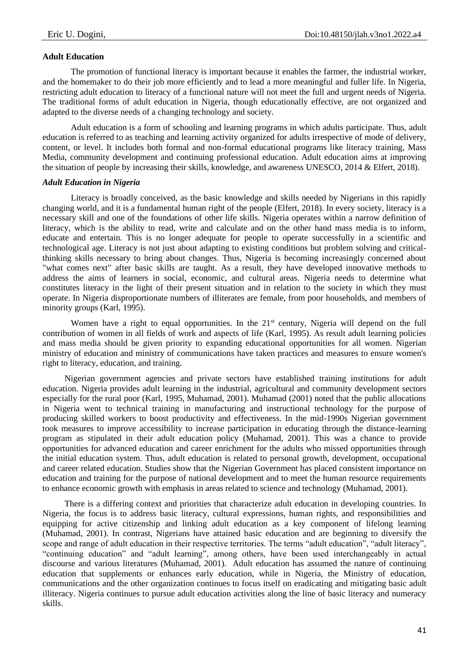## **Adult Education**

The promotion of functional literacy is important because it enables the farmer, the industrial worker, and the homemaker to do their job more efficiently and to lead a more meaningful and fuller life. In Nigeria, restricting adult education to literacy of a functional nature will not meet the full and urgent needs of Nigeria. The traditional forms of adult education in Nigeria, though educationally effective, are not organized and adapted to the diverse needs of a changing technology and society.

Adult education is a form of schooling and learning programs in which adults participate. Thus, adult education is referred to as teaching and learning activity organized for adults irrespective of mode of delivery, content, or level. It includes both formal and non-formal educational programs like literacy training, Mass Media, community development and continuing professional education. Adult education aims at improving the situation of people by increasing their skills, knowledge, and awareness UNESCO, 2014 & Elfert, 2018).

### *Adult Education in Nigeria*

Literacy is broadly conceived, as the basic knowledge and skills needed by Nigerians in this rapidly changing world, and it is a fundamental human right of the people (Elfert, 2018). In every society, literacy is a necessary skill and one of the foundations of other life skills. Nigeria operates within a narrow definition of literacy, which is the ability to read, write and calculate and on the other hand mass media is to inform, educate and entertain. This is no longer adequate for people to operate successfully in a scientific and technological age. Literacy is not just about adapting to existing conditions but problem solving and criticalthinking skills necessary to bring about changes. Thus, Nigeria is becoming increasingly concerned about "what comes next" after basic skills are taught. As a result, they have developed innovative methods to address the aims of learners in social, economic, and cultural areas. Nigeria needs to determine what constitutes literacy in the light of their present situation and in relation to the society in which they must operate. In Nigeria disproportionate numbers of illiterates are female, from poor households, and members of minority groups (Karl, 1995).

Women have a right to equal opportunities. In the 21<sup>st</sup> century, Nigeria will depend on the full contribution of women in all fields of work and aspects of life (Karl, 1995). As result adult learning policies and mass media should be given priority to expanding educational opportunities for all women. Nigerian ministry of education and ministry of communications have taken practices and measures to ensure women's right to literacy, education, and training.

Nigerian government agencies and private sectors have established training institutions for adult education. Nigeria provides adult learning in the industrial, agricultural and community development sectors especially for the rural poor (Karl, 1995, Muhamad, 2001). Muhamad (2001) noted that the public allocations in Nigeria went to technical training in manufacturing and instructional technology for the purpose of producing skilled workers to boost productivity and effectiveness. In the mid-1990s Nigerian government took measures to improve accessibility to increase participation in educating through the distance-learning program as stipulated in their adult education policy (Muhamad, 2001). This was a chance to provide opportunities for advanced education and career enrichment for the adults who missed opportunities through the initial education system. Thus, adult education is related to personal growth, development, occupational and career related education. Studies show that the Nigerian Government has placed consistent importance on education and training for the purpose of national development and to meet the human resource requirements to enhance economic growth with emphasis in areas related to science and technology (Muhamad, 2001).

There is a differing context and priorities that characterize adult education in developing countries. In Nigeria, the focus is to address basic literacy, cultural expressions, human rights, and responsibilities and equipping for active citizenship and linking adult education as a key component of lifelong learning (Muhamad, 2001). In contrast, Nigerians have attained basic education and are beginning to diversify the scope and range of adult education in their respective territories. The terms "adult education", "adult literacy", "continuing education" and "adult learning", among others, have been used interchangeably in actual discourse and various literatures (Muhamad, 2001). Adult education has assumed the nature of continuing education that supplements or enhances early education, while in Nigeria, the Ministry of education, communications and the other organization continues to focus itself on eradicating and mitigating basic adult illiteracy. Nigeria continues to pursue adult education activities along the line of basic literacy and numeracy skills.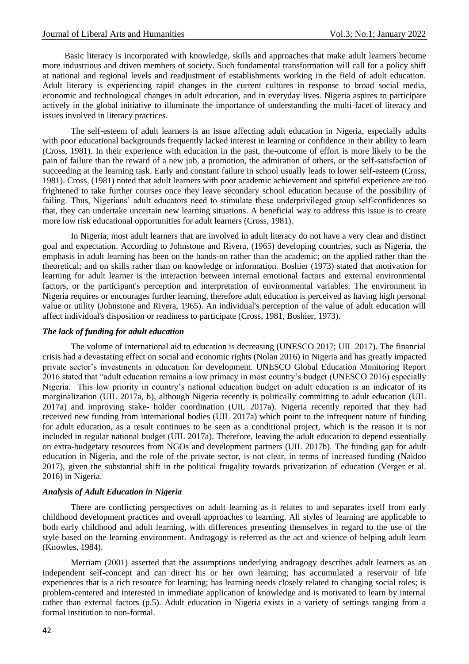Basic literacy is incorporated with knowledge, skills and approaches that make adult learners become more industrious and driven members of society. Such fundamental transformation will call for a policy shift at national and regional levels and readjustment of establishments working in the field of adult education. Adult literacy is experiencing rapid changes in the current cultures in response to broad social media, economic and technological changes in adult education, and in everyday lives. Nigeria aspires to participate actively in the global initiative to illuminate the importance of understanding the multi-facet of literacy and issues involved in literacy practices.

The self-esteem of adult learners is an issue affecting adult education in Nigeria, especially adults with poor educational backgrounds frequently lacked interest in learning or confidence in their ability to learn (Cross, 1981). In their experience with education in the past, the-outcome of effort is more likely to be the pain of failure than the reward of a new job, a promotion, the admiration of others, or the self-satisfaction of succeeding at the learning task. Early and constant failure in school usually leads to lower self-esteem (Cross, 1981). Cross, (1981) noted that adult learners with poor academic achievement and spiteful experience are too frightened to take further courses once they leave secondary school education because of the possibility of failing. Thus, Nigerians' adult educators need to stimulate these underprivileged group self-confidences so that, they can undertake uncertain new learning situations. A beneficial way to address this issue is to create more low risk educational opportunities for adult learners (Cross, 1981).

In Nigeria, most adult learners that are involved in adult literacy do not have a very clear and distinct goal and expectation. According to Johnstone and Rivera, (1965) developing countries, such as Nigeria, the emphasis in adult learning has been on the hands-on rather than the academic; on the applied rather than the theoretical; and on skills rather than on knowledge or information. Boshier (1973) stated that motivation for learning for adult learner is the interaction between internal emotional factors and external environmental factors, or the participant's perception and interpretation of environmental variables. The environment in Nigeria requires or encourages further learning, therefore adult education is perceived as having high personal value or utility (Johnstone and Rivera, 1965). An individual's perception of the value of adult education will affect individual's disposition or readiness to participate (Cross, 1981, Boshier, 1973).

#### *The lack of funding for adult education*

The volume of international aid to education is decreasing (UNESCO 2017; UIL 2017). The financial crisis had a devastating effect on social and economic rights (Nolan 2016) in Nigeria and has greatly impacted private sector's investments in education for development. UNESCO Global Education Monitoring Report 2016 stated that "adult education remains a low primacy in most country's budget (UNESCO 2016) especially Nigeria. This low priority in country's national education budget on adult education is an indicator of its marginalization (UIL 2017a, b), although Nigeria recently is politically committing to adult education (UIL 2017a) and improving stake- holder coordination (UIL 2017a). Nigeria recently reported that they had received new funding from international bodies (UIL 2017a) which point to the infrequent nature of funding for adult education, as a result continues to be seen as a conditional project, which is the reason it is not included in regular national budget (UIL 2017a). Therefore, leaving the adult education to depend essentially on extra-budgetary resources from NGOs and development partners (UIL 2017b). The funding gap for adult education in Nigeria, and the role of the private sector, is not clear, in terms of increased funding (Naidoo 2017), given the substantial shift in the political frugality towards privatization of education (Verger et al. 2016) in Nigeria.

#### *Analysis of Adult Education in Nigeria*

There are conflicting perspectives on adult learning as it relates to and separates itself from early childhood development practices and overall approaches to learning. All styles of learning are applicable to both early childhood and adult learning, with differences presenting themselves in regard to the use of the style based on the learning environment. Andragogy is referred as the act and science of helping adult learn (Knowles, 1984).

Merriam (2001) asserted that the assumptions underlying andragogy describes adult learners as an independent self-concept and can direct his or her own learning; has accumulated a reservoir of life experiences that is a rich resource for learning; has learning needs closely related to changing social roles; is problem-centered and interested in immediate application of knowledge and is motivated to learn by internal rather than external factors (p.5). Adult education in Nigeria exists in a variety of settings ranging from a formal institution to non-formal.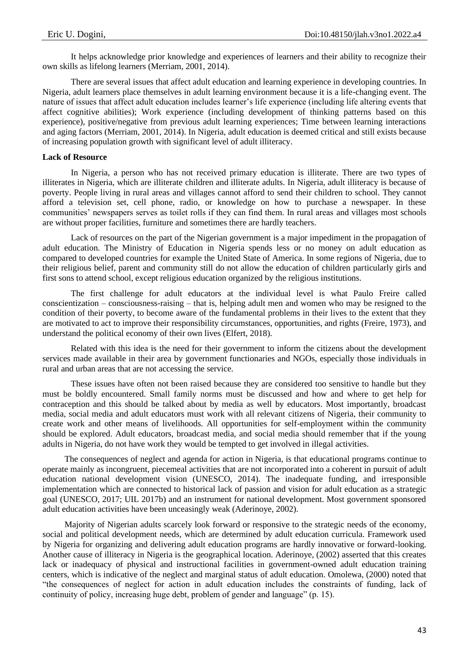It helps acknowledge prior knowledge and experiences of learners and their ability to recognize their own skills as lifelong learners (Merriam, 2001, 2014).

There are several issues that affect adult education and learning experience in developing countries. In Nigeria, adult learners place themselves in adult learning environment because it is a life-changing event. The nature of issues that affect adult education includes learner's life experience (including life altering events that affect cognitive abilities); Work experience (including development of thinking patterns based on this experience), positive/negative from previous adult learning experiences; Time between learning interactions and aging factors (Merriam, 2001, 2014). In Nigeria, adult education is deemed critical and still exists because of increasing population growth with significant level of adult illiteracy.

## **Lack of Resource**

In Nigeria, a person who has not received primary education is illiterate. There are two types of illiterates in Nigeria, which are illiterate children and illiterate adults. In Nigeria, adult illiteracy is because of poverty. People living in rural areas and villages cannot afford to send their children to school. They cannot afford a television set, cell phone, radio, or knowledge on how to purchase a newspaper. In these communities' newspapers serves as toilet rolls if they can find them. In rural areas and villages most schools are without proper facilities, furniture and sometimes there are hardly teachers.

Lack of resources on the part of the Nigerian government is a major impediment in the propagation of adult education. The Ministry of Education in Nigeria spends less or no money on adult education as compared to developed countries for example the United State of America. In some regions of Nigeria, due to their religious belief, parent and community still do not allow the education of children particularly girls and first sons to attend school, except religious education organized by the religious institutions.

The first challenge for adult educators at the individual level is what Paulo Freire called conscientization – consciousness-raising – that is, helping adult men and women who may be resigned to the condition of their poverty, to become aware of the fundamental problems in their lives to the extent that they are motivated to act to improve their responsibility circumstances, opportunities, and rights (Freire, 1973), and understand the political economy of their own lives (Elfert, 2018).

Related with this idea is the need for their government to inform the citizens about the development services made available in their area by government functionaries and NGOs, especially those individuals in rural and urban areas that are not accessing the service.

These issues have often not been raised because they are considered too sensitive to handle but they must be boldly encountered. Small family norms must be discussed and how and where to get help for contraception and this should be talked about by media as well by educators. Most importantly, broadcast media, social media and adult educators must work with all relevant citizens of Nigeria, their community to create work and other means of livelihoods. All opportunities for self-employment within the community should be explored. Adult educators, broadcast media, and social media should remember that if the young adults in Nigeria, do not have work they would be tempted to get involved in illegal activities.

The consequences of neglect and agenda for action in Nigeria, is that educational programs continue to operate mainly as incongruent, piecemeal activities that are not incorporated into a coherent in pursuit of adult education national development vision (UNESCO, 2014). The inadequate funding, and irresponsible implementation which are connected to historical lack of passion and vision for adult education as a strategic goal (UNESCO, 2017; UIL 2017b) and an instrument for national development. Most government sponsored adult education activities have been unceasingly weak (Aderinoye, 2002).

Majority of Nigerian adults scarcely look forward or responsive to the strategic needs of the economy, social and political development needs, which are determined by adult education curricula. Framework used by Nigeria for organizing and delivering adult education programs are hardly innovative or forward-looking. Another cause of illiteracy in Nigeria is the geographical location. Aderinoye, (2002) asserted that this creates lack or inadequacy of physical and instructional facilities in government-owned adult education training centers, which is indicative of the neglect and marginal status of adult education. Omolewa, (2000) noted that "the consequences of neglect for action in adult education includes the constraints of funding, lack of continuity of policy, increasing huge debt, problem of gender and language" (p. 15).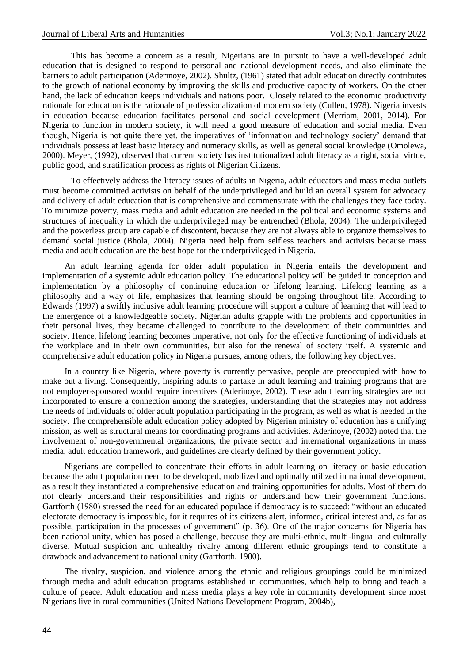This has become a concern as a result, Nigerians are in pursuit to have a well-developed adult education that is designed to respond to personal and national development needs, and also eliminate the barriers to adult participation (Aderinoye, 2002). Shultz, (1961) stated that adult education directly contributes to the growth of national economy by improving the skills and productive capacity of workers. On the other hand, the lack of education keeps individuals and nations poor. Closely related to the economic productivity rationale for education is the rationale of professionalization of modern society (Cullen, 1978). Nigeria invests in education because education facilitates personal and social development (Merriam, 2001, 2014). For Nigeria to function in modern society, it will need a good measure of education and social media. Even though, Nigeria is not quite there yet, the imperatives of 'information and technology society' demand that individuals possess at least basic literacy and numeracy skills, as well as general social knowledge (Omolewa, 2000). Meyer, (1992), observed that current society has institutionalized adult literacy as a right, social virtue, public good, and stratification process as rights of Nigerian Citizens.

To effectively address the literacy issues of adults in Nigeria, adult educators and mass media outlets must become committed activists on behalf of the underprivileged and build an overall system for advocacy and delivery of adult education that is comprehensive and commensurate with the challenges they face today. To minimize poverty, mass media and adult education are needed in the political and economic systems and structures of inequality in which the underprivileged may be entrenched (Bhola, 2004). The underprivileged and the powerless group are capable of discontent, because they are not always able to organize themselves to demand social justice (Bhola, 2004). Nigeria need help from selfless teachers and activists because mass media and adult education are the best hope for the underprivileged in Nigeria.

An adult learning agenda for older adult population in Nigeria entails the development and implementation of a systemic adult education policy. The educational policy will be guided in conception and implementation by a philosophy of continuing education or lifelong learning. Lifelong learning as a philosophy and a way of life, emphasizes that learning should be ongoing throughout life. According to Edwards (1997) a swiftly inclusive adult learning procedure will support a culture of learning that will lead to the emergence of a knowledgeable society. Nigerian adults grapple with the problems and opportunities in their personal lives, they became challenged to contribute to the development of their communities and society. Hence, lifelong learning becomes imperative, not only for the effective functioning of individuals at the workplace and in their own communities, but also for the renewal of society itself. A systemic and comprehensive adult education policy in Nigeria pursues, among others, the following key objectives.

In a country like Nigeria, where poverty is currently pervasive, people are preoccupied with how to make out a living. Consequently, inspiring adults to partake in adult learning and training programs that are not employer-sponsored would require incentives (Aderinoye, 2002). These adult learning strategies are not incorporated to ensure a connection among the strategies, understanding that the strategies may not address the needs of individuals of older adult population participating in the program, as well as what is needed in the society. The comprehensible adult education policy adopted by Nigerian ministry of education has a unifying mission, as well as structural means for coordinating programs and activities. Aderinoye, (2002) noted that the involvement of non-governmental organizations, the private sector and international organizations in mass media, adult education framework, and guidelines are clearly defined by their government policy.

Nigerians are compelled to concentrate their efforts in adult learning on literacy or basic education because the adult population need to be developed, mobilized and optimally utilized in national development, as a result they instantiated a comprehensive education and training opportunities for adults. Most of them do not clearly understand their responsibilities and rights or understand how their government functions. Gartforth (1980) stressed the need for an educated populace if democracy is to succeed: "without an educated electorate democracy is impossible, for it requires of its citizens alert, informed, critical interest and, as far as possible, participation in the processes of government" (p. 36). One of the major concerns for Nigeria has been national unity, which has posed a challenge, because they are multi-ethnic, multi-lingual and culturally diverse. Mutual suspicion and unhealthy rivalry among different ethnic groupings tend to constitute a drawback and advancement to national unity (Gartforth, 1980).

The rivalry, suspicion, and violence among the ethnic and religious groupings could be minimized through media and adult education programs established in communities, which help to bring and teach a culture of peace. Adult education and mass media plays a key role in community development since most Nigerians live in rural communities (United Nations Development Program, 2004b),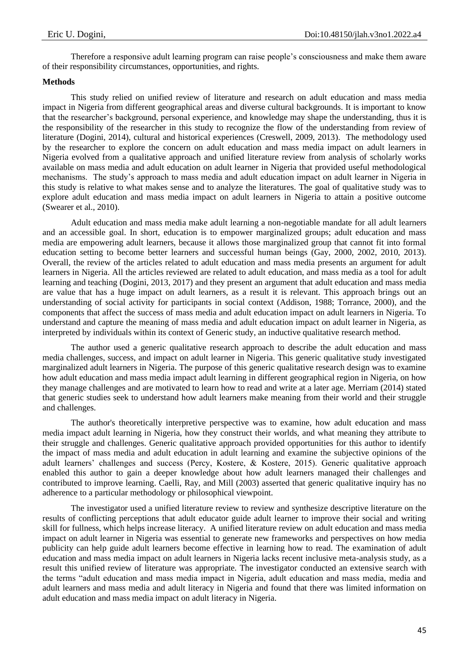Therefore a responsive adult learning program can raise people's consciousness and make them aware of their responsibility circumstances, opportunities, and rights.

## **Methods**

This study relied on unified review of literature and research on adult education and mass media impact in Nigeria from different geographical areas and diverse cultural backgrounds. It is important to know that the researcher's background, personal experience, and knowledge may shape the understanding, thus it is the responsibility of the researcher in this study to recognize the flow of the understanding from review of literature (Dogini, 2014), cultural and historical experiences (Creswell, 2009, 2013). The methodology used by the researcher to explore the concern on adult education and mass media impact on adult learners in Nigeria evolved from a qualitative approach and unified literature review from analysis of scholarly works available on mass media and adult education on adult learner in Nigeria that provided useful methodological mechanisms. The study's approach to mass media and adult education impact on adult learner in Nigeria in this study is relative to what makes sense and to analyze the literatures. The goal of qualitative study was to explore adult education and mass media impact on adult learners in Nigeria to attain a positive outcome (Swearer et al., 2010).

Adult education and mass media make adult learning a non-negotiable mandate for all adult learners and an accessible goal. In short, education is to empower marginalized groups; adult education and mass media are empowering adult learners, because it allows those marginalized group that cannot fit into formal education setting to become better learners and successful human beings (Gay, 2000, 2002, 2010, 2013). Overall, the review of the articles related to adult education and mass media presents an argument for adult learners in Nigeria. All the articles reviewed are related to adult education, and mass media as a tool for adult learning and teaching (Dogini, 2013, 2017) and they present an argument that adult education and mass media are value that has a huge impact on adult learners, as a result it is relevant. This approach brings out an understanding of social activity for participants in social context (Addison, 1988; Torrance, 2000), and the components that affect the success of mass media and adult education impact on adult learners in Nigeria. To understand and capture the meaning of mass media and adult education impact on adult learner in Nigeria, as interpreted by individuals within its context of Generic study, an inductive qualitative research method.

The author used a generic qualitative research approach to describe the adult education and mass media challenges, success, and impact on adult learner in Nigeria. This generic qualitative study investigated marginalized adult learners in Nigeria. The purpose of this generic qualitative research design was to examine how adult education and mass media impact adult learning in different geographical region in Nigeria, on how they manage challenges and are motivated to learn how to read and write at a later age. Merriam (2014) stated that generic studies seek to understand how adult learners make meaning from their world and their struggle and challenges.

The author's theoretically interpretive perspective was to examine, how adult education and mass media impact adult learning in Nigeria, how they construct their worlds, and what meaning they attribute to their struggle and challenges. Generic qualitative approach provided opportunities for this author to identify the impact of mass media and adult education in adult learning and examine the subjective opinions of the adult learners' challenges and success (Percy, Kostere, & Kostere, 2015). Generic qualitative approach enabled this author to gain a deeper knowledge about how adult learners managed their challenges and contributed to improve learning. Caelli, Ray, and Mill (2003) asserted that generic qualitative inquiry has no adherence to a particular methodology or philosophical viewpoint.

The investigator used a unified literature review to review and synthesize descriptive literature on the results of conflicting perceptions that adult educator guide adult learner to improve their social and writing skill for fullness, which helps increase literacy. A unified literature review on adult education and mass media impact on adult learner in Nigeria was essential to generate new frameworks and perspectives on how media publicity can help guide adult learners become effective in learning how to read. The examination of adult education and mass media impact on adult learners in Nigeria lacks recent inclusive meta-analysis study, as a result this unified review of literature was appropriate. The investigator conducted an extensive search with the terms "adult education and mass media impact in Nigeria, adult education and mass media, media and adult learners and mass media and adult literacy in Nigeria and found that there was limited information on adult education and mass media impact on adult literacy in Nigeria.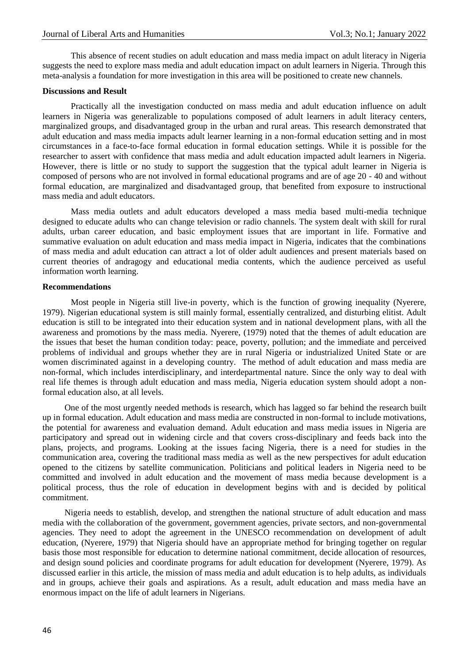This absence of recent studies on adult education and mass media impact on adult literacy in Nigeria suggests the need to explore mass media and adult education impact on adult learners in Nigeria. Through this meta-analysis a foundation for more investigation in this area will be positioned to create new channels.

## **Discussions and Result**

Practically all the investigation conducted on mass media and adult education influence on adult learners in Nigeria was generalizable to populations composed of adult learners in adult literacy centers, marginalized groups, and disadvantaged group in the urban and rural areas. This research demonstrated that adult education and mass media impacts adult learner learning in a non-formal education setting and in most circumstances in a face-to-face formal education in formal education settings. While it is possible for the researcher to assert with confidence that mass media and adult education impacted adult learners in Nigeria. However, there is little or no study to support the suggestion that the typical adult learner in Nigeria is composed of persons who are not involved in formal educational programs and are of age 20 - 40 and without formal education, are marginalized and disadvantaged group, that benefited from exposure to instructional mass media and adult educators.

Mass media outlets and adult educators developed a mass media based multi-media technique designed to educate adults who can change television or radio channels. The system dealt with skill for rural adults, urban career education, and basic employment issues that are important in life. Formative and summative evaluation on adult education and mass media impact in Nigeria, indicates that the combinations of mass media and adult education can attract a lot of older adult audiences and present materials based on current theories of andragogy and educational media contents, which the audience perceived as useful information worth learning.

#### **Recommendations**

Most people in Nigeria still live-in poverty, which is the function of growing inequality (Nyerere, 1979). Nigerian educational system is still mainly formal, essentially centralized, and disturbing elitist. Adult education is still to be integrated into their education system and in national development plans, with all the awareness and promotions by the mass media. Nyerere, (1979) noted that the themes of adult education are the issues that beset the human condition today: peace, poverty, pollution; and the immediate and perceived problems of individual and groups whether they are in rural Nigeria or industrialized United State or are women discriminated against in a developing country. The method of adult education and mass media are non-formal, which includes interdisciplinary, and interdepartmental nature. Since the only way to deal with real life themes is through adult education and mass media, Nigeria education system should adopt a nonformal education also, at all levels.

One of the most urgently needed methods is research, which has lagged so far behind the research built up in formal education. Adult education and mass media are constructed in non-formal to include motivations, the potential for awareness and evaluation demand. Adult education and mass media issues in Nigeria are participatory and spread out in widening circle and that covers cross-disciplinary and feeds back into the plans, projects, and programs. Looking at the issues facing Nigeria, there is a need for studies in the communication area, covering the traditional mass media as well as the new perspectives for adult education opened to the citizens by satellite communication. Politicians and political leaders in Nigeria need to be committed and involved in adult education and the movement of mass media because development is a political process, thus the role of education in development begins with and is decided by political commitment.

Nigeria needs to establish, develop, and strengthen the national structure of adult education and mass media with the collaboration of the government, government agencies, private sectors, and non-governmental agencies. They need to adopt the agreement in the UNESCO recommendation on development of adult education, (Nyerere, 1979) that Nigeria should have an appropriate method for bringing together on regular basis those most responsible for education to determine national commitment, decide allocation of resources, and design sound policies and coordinate programs for adult education for development (Nyerere, 1979). As discussed earlier in this article, the mission of mass media and adult education is to help adults, as individuals and in groups, achieve their goals and aspirations. As a result, adult education and mass media have an enormous impact on the life of adult learners in Nigerians.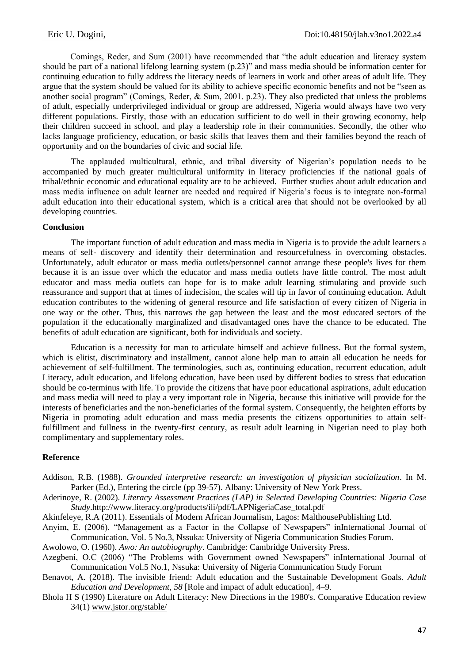Comings, Reder, and Sum (2001) have recommended that "the adult education and literacy system should be part of a national lifelong learning system (p.23)" and mass media should be information center for continuing education to fully address the literacy needs of learners in work and other areas of adult life. They argue that the system should be valued for its ability to achieve specific economic benefits and not be "seen as another social program" (Comings, Reder, & Sum, 2001. p.23). They also predicted that unless the problems of adult, especially underprivileged individual or group are addressed, Nigeria would always have two very different populations. Firstly, those with an education sufficient to do well in their growing economy, help their children succeed in school, and play a leadership role in their communities. Secondly, the other who lacks language proficiency, education, or basic skills that leaves them and their families beyond the reach of opportunity and on the boundaries of civic and social life.

The applauded multicultural, ethnic, and tribal diversity of Nigerian's population needs to be accompanied by much greater multicultural uniformity in literacy proficiencies if the national goals of tribal/ethnic economic and educational equality are to be achieved. Further studies about adult education and mass media influence on adult learner are needed and required if Nigeria's focus is to integrate non-formal adult education into their educational system, which is a critical area that should not be overlooked by all developing countries.

## **Conclusion**

The important function of adult education and mass media in Nigeria is to provide the adult learners a means of self- discovery and identify their determination and resourcefulness in overcoming obstacles. Unfortunately, adult educator or mass media outlets/personnel cannot arrange these people's lives for them because it is an issue over which the educator and mass media outlets have little control. The most adult educator and mass media outlets can hope for is to make adult learning stimulating and provide such reassurance and support that at times of indecision, the scales will tip in favor of continuing education. Adult education contributes to the widening of general resource and life satisfaction of every citizen of Nigeria in one way or the other. Thus, this narrows the gap between the least and the most educated sectors of the population if the educationally marginalized and disadvantaged ones have the chance to be educated. The benefits of adult education are significant, both for individuals and society.

Education is a necessity for man to articulate himself and achieve fullness. But the formal system, which is elitist, discriminatory and installment, cannot alone help man to attain all education he needs for achievement of self-fulfillment. The terminologies, such as, continuing education, recurrent education, adult Literacy, adult education, and lifelong education, have been used by different bodies to stress that education should be co-terminus with life. To provide the citizens that have poor educational aspirations, adult education and mass media will need to play a very important role in Nigeria, because this initiative will provide for the interests of beneficiaries and the non-beneficiaries of the formal system. Consequently, the heighten efforts by Nigeria in promoting adult education and mass media presents the citizens opportunities to attain selffulfillment and fullness in the twenty-first century, as result adult learning in Nigerian need to play both complimentary and supplementary roles.

## **Reference**

- Addison, R.B. (1988). *Grounded interpretive research: an investigation of physician socialization*. In M. Parker (Ed.), Entering the circle (pp 39-57). Albany: University of New York Press.
- Aderinoye, R. (2002). *Literacy Assessment Practices (LAP) in Selected Developing Countries: Nigeria Case Study*.http://www.literacy.org/products/ili/pdf/LAPNigeriaCase\_total.pdf
- Akinfeleye, R.A (2011). Essentials of Modern African Journalism, Lagos: MalthousePublishing Ltd.
- Anyim, E. (2006). "Management as a Factor in the Collapse of Newspapers" inInternational Journal of Communication, Vol. 5 No.3, Nssuka: University of Nigeria Communication Studies Forum.
- Awolowo, O. (1960). *Awo: An autobiography*. Cambridge: Cambridge University Press.
- Azegbeni, O.C (2006) "The Problems with Government owned Newspapers" inInternational Journal of Communication Vol.5 No.1, Nssuka: University of Nigeria Communication Study Forum
- Benavot, A. (2018). The invisible friend: Adult education and the Sustainable Development Goals. *Adult Education and Development, 58* [Role and impact of adult education], 4–9.
- Bhola H S (1990) Literature on Adult Literacy: New Directions in the 1980's*.* Comparative Education review 34(1) [www.jstor.org/stable/](http://www.jstor.org/stable/)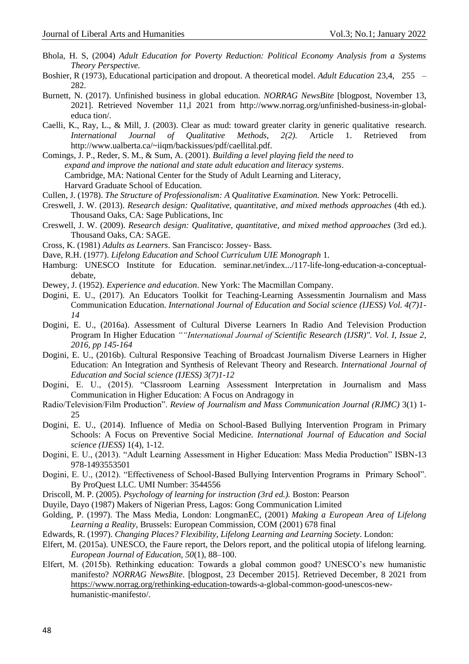- Bhola, H. S, (2004) *Adult Education for Poverty Reduction: Political Economy Analysis from a Systems Theory Perspective.*
- Boshier, R (1973), Educational participation and dropout. A theoretical model. *Adult Education* 23,4, 255 282.
- Burnett, N. (2017). Unfinished business in global education. *NORRAG NewsBite* [blogpost, November 13, 2021]. Retrieved November 11,l 2021 from http://www.norrag.org/unfinished-business-in-globaleduca tion/.
- Caelli, K., Ray, L., & Mill, J. (2003). Clear as mud: toward greater clarity in generic qualitative research. *International Journal of Qualitative Methods, 2(2).* Article 1. Retrieved from http://www.ualberta.ca/~iiqm/backissues/pdf/caellital.pdf.
- Comings, J. P., Reder, S. M., & Sum, A. (2001). *Building a level playing field the need to expand and improve the national and state adult education and literacy systems*. Cambridge, MA: National Center for the Study of Adult Learning and Literacy, Harvard Graduate School of Education.
- Cullen, J. (1978). *The Structure of Professionalism: A Qualitative Examination.* New York: Petrocelli.
- Creswell, J. W. (2013). *Research design: Qualitative, quantitative, and mixed methods approaches* (4th ed.). Thousand Oaks, CA: Sage Publications, Inc
- Creswell, J. W. (2009). *Research design: Qualitative, quantitative, and mixed method approaches* (3rd ed.). Thousand Oaks, CA: SAGE.
- Cross, K. (1981) *Adults as Learners*. San Francisco: Jossey- Bass.
- Dave, R.H. (1977). *Lifelong Education and School Curriculum UIE Monograph* 1.
- Hamburg: UNESCO Institute for Education. seminar.net/index.../117-life-long-education-a-conceptualdebate,
- Dewey, J. (1952). *Experience and education*. New York: The Macmillan Company.
- Dogini, E. U., (2017). An Educators Toolkit for Teaching-Learning Assessmentin Journalism and Mass Communication Education. *International Journal of Education and Social science (IJESS) Vol. 4(7)1- 14*
- Dogini, E. U., (2016a). Assessment of Cultural Diverse Learners In Radio And Television Production Program In Higher Education *""International Journal of Scientific Research (IJSR)". Vol. I, Issue 2, 2016, pp 145-164*
- Dogini, E. U., (2016b). Cultural Responsive Teaching of Broadcast Journalism Diverse Learners in Higher Education: An Integration and Synthesis of Relevant Theory and Research. *International Journal of Education and Social science (IJESS) 3(7)1-12*
- Dogini, E. U., (2015). "Classroom Learning Assessment Interpretation in Journalism and Mass Communication in Higher Education: A Focus on Andragogy in
- Radio/Television/Film Production". *Review of Journalism and Mass Communication Journal (RJMC)* 3(1) 1- 25
- Dogini, E. U., (2014). Influence of Media on School-Based Bullying Intervention Program in Primary Schools: A Focus on Preventive Social Medicine. *International Journal of Education and Social science (IJESS)* 1(4), 1-12.
- Dogini, E. U., (2013). "Adult Learning Assessment in Higher Education: Mass Media Production" ISBN-13 978-1493553501
- Dogini, E. U., (2012). "Effectiveness of School-Based Bullying Intervention Programs in Primary School". By ProQuest LLC. UMI Number: 3544556
- Driscoll, M. P. (2005). *Psychology of learning for instruction (3rd ed.).* Boston: Pearson
- Duyile, Dayo (1987) Makers of Nigerian Press, Lagos: Gong Communication Limited
- Golding, P. (1997). The Mass Media, London: LongmanEC, (2001) *Making a European Area of Lifelong Learning a Reality*, Brussels: European Commission, COM (2001) 678 final
- Edwards, R. (1997). *Changing Places? Flexibility, Lifelong Learning and Learning Society*. London:
- Elfert, M. (2015a). UNESCO, the Faure report, the Delors report, and the political utopia of lifelong learning. *European Journal of Education, 50*(1), 88–100.
- Elfert, M. (2015b). Rethinking education: Towards a global common good? UNESCO's new humanistic manifesto? *NORRAG NewsBite*. [blogpost, 23 December 2015]. Retrieved December, 8 2021 from [https://www.norrag.org/rethinking-education-t](https://www.norrag.org/rethinking-education-)owards-a-global-common-good-unescos-newhumanistic-manifesto/.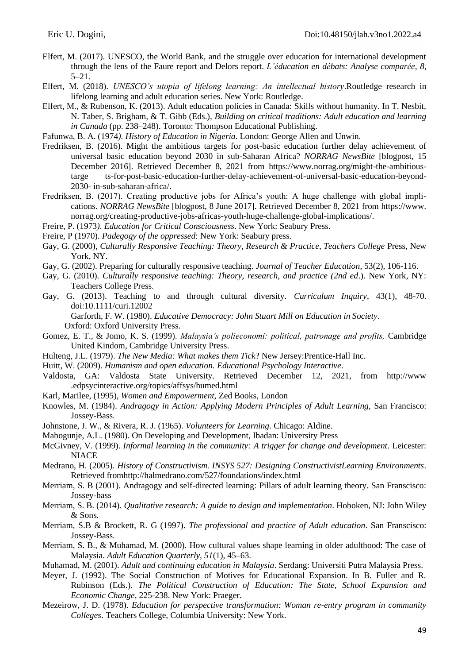- Elfert, M. (2017). UNESCO, the World Bank, and the struggle over education for international development through the lens of the Faure report and Delors report. *L'éducation en débats: Analyse comparée, 8,*   $5 - 21.$
- Elfert, M. (2018). *UNESCO's utopia of lifelong learning: An intellectual history*.Routledge research in lifelong learning and adult education series. New York: Routledge.
- Elfert, M., & Rubenson, K. (2013). Adult education policies in Canada: Skills without humanity. In T. Nesbit, N. Taber, S. Brigham, & T. Gibb (Eds.), *Building on critical traditions: Adult education and learning in Canada* (pp. 238–248). Toronto: Thompson Educational Publishing.
- Fafunwa, B. A. (1974*). History of Education in Nigeria*. London: George Allen and Unwin.
- Fredriksen, B. (2016). Might the ambitious targets for post-basic education further delay achievement of universal basic education beyond 2030 in sub-Saharan Africa? *NORRAG NewsBite* [blogpost, 15 December 2016]. Retrieved December 8, 2021 from https://www.norrag.org/might-the-ambitioustarge ts-for-post-basic-education-further-delay-achievement-of-universal-basic-education-beyond-2030- in-sub-saharan-africa/.
- Fredriksen, B. (2017). Creating productive jobs for Africa's youth: A huge challenge with global implications. *NORRAG NewsBite* [blogpost, 8 June 2017]. Retrieved December 8, 2021 from https://www. norrag.org/creating-productive-jobs-africas-youth-huge-challenge-global-implications/.
- Freire, P. (1973*). Education for Critical Consciousness*. New York: Seabury Press.
- Freire, P (1970). *Padegogy of the oppressed*: New York: Seabury press.
- Gay, G. (2000), *Culturally Responsive Teaching: Theory, Research & Practice, Teachers College* Press, New York, NY.
- Gay, G. (2002). Preparing for culturally responsive teaching. *Journal of Teacher Education*, 53(2), 106-116.
- Gay, G. (2010). *Culturally responsive teaching: Theory, research, and practice (2nd ed*.). New York, NY: Teachers College Press.
- Gay, G. (2013). Teaching to and through cultural diversity. *Curriculum Inquiry*, 43(1), 48-70. doi:10.1111/curi.12002

Garforth, F. W. (1980). *Educative Democracy: John Stuart Mill on Education in Society*. Oxford: Oxford University Press.

- Gomez, E. T., & Jomo, K. S. (1999). *Malaysia's polieconomi: political, patronage and profits,* Cambridge United Kindom, Cambridge University Press.
- Hulteng, J.L. (1979). *The New Media: What makes them Tick*? New Jersey:Prentice-Hall Inc.
- Huitt, W. (2009). *Humanism and open education. Educational Psychology Interactive*.
- Valdosta, GA: Valdosta State University. Retrieved December 12, 2021, from http://www .edpsycinteractive.org/topics/affsys/humed.html
- Karl, Marilee, (1995), *Women and Empowerment*, Zed Books, London
- Knowles, M. (1984). *Andragogy in Action: Applying Modern Principles of Adult Learning*, San Francisco: Jossey-Bass.
- Johnstone, J. W., & Rivera, R. J. (1965). *Volunteers for Learning.* Chicago: Aldine.
- Mabogunje, A.L. (1980). On Developing and Development, Ibadan: University Press
- McGivney, V. (1999). *Informal learning in the community: A trigger for change and development*. Leicester: NIACE
- Medrano, H. (2005). *History of Constructivism. INSYS 527: Designing ConstructivistLearning Environments*. Retrieved fromhttp://halmedrano.com/527/foundations/index.html
- Merriam, S. B (2001). Andragogy and self-directed learning: Pillars of adult learning theory. San Franscisco: Jossey-bass
- Merriam, S. B. (2014). *Qualitative research: A guide to design and implementation*. Hoboken, NJ: John Wiley & Sons.
- Merriam, S.B & Brockett, R. G (1997). *The professional and practice of Adult education*. San Franscisco: Jossey-Bass.
- Merriam, S. B., & Muhamad, M. (2000). How cultural values shape learning in older adulthood: The case of Malaysia. *Adult Education Quarterly, 51*(1), 45–63.
- Muhamad, M. (2001). *Adult and continuing education in Malaysia*. Serdang: Universiti Putra Malaysia Press.
- Meyer, J. (1992). The Social Construction of Motives for Educational Expansion. In B. Fuller and R. Rubinson (Eds.). *The Political Construction of Education: The State, School Expansion and Economic Change*, 225-238. New York: Praeger.
- Mezeirow, J. D. (1978). *Education for perspective transformation: Woman re-entry program in community Colleges*. Teachers College, Columbia University: New York.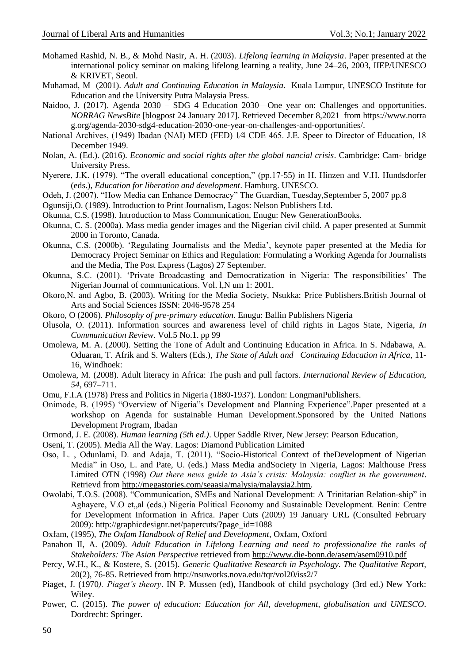- Mohamed Rashid, N. B., & Mohd Nasir, A. H. (2003). *Lifelong learning in Malaysia*. Paper presented at the international policy seminar on making lifelong learning a reality, June 24–26, 2003, IIEP/UNESCO & KRIVET, Seoul.
- Muhamad, M (2001). *Adult and Continuing Education in Malaysia*. Kuala Lumpur, UNESCO Institute for Education and the University Putra Malaysia Press.
- Naidoo, J. (2017). Agenda 2030 SDG 4 Education 2030—One year on: Challenges and opportunities. *NORRAG NewsBite* [blogpost 24 January 2017]. Retrieved December 8,2021 from https://www.norra g.org/agenda-2030-sdg4-education-2030-one-year-on-challenges-and-opportunities/.
- National Archives, (1949) Ibadan (NAI) MED (FED) 1⁄4 CDE 465. J.E. Speer to Director of Education, 18 December 1949.
- Nolan, A. (Ed.). (2016). *Economic and social rights after the global nancial crisis*. Cambridge: Cam- bridge University Press.
- Nyerere, J.K. (1979). "The overall educational conception," (pp.17-55) in H. Hinzen and V.H. Hundsdorfer (eds.), *Education for liberation and development*. Hamburg. UNESCO.
- Odeh, J. (2007). "How Media can Enhance Democracy" The Guardian, Tuesday,September 5, 2007 pp.8
- Ogunsiji,O. (1989). Introduction to Print Journalism, Lagos: Nelson Publishers Ltd.
- Okunna, C.S. (1998). Introduction to Mass Communication, Enugu: New GenerationBooks.
- Okunna, C. S. (2000a). Mass media gender images and the Nigerian civil child. A paper presented at Summit 2000 in Toronto, Canada.
- Okunna, C.S. (2000b). 'Regulating Journalists and the Media', keynote paper presented at the Media for Democracy Project Seminar on Ethics and Regulation: Formulating a Working Agenda for Journalists and the Media, The Post Express (Lagos) 27 September.
- Okunna, S.C. (2001). 'Private Broadcasting and Democratization in Nigeria: The responsibilities' The Nigerian Journal of communications. Vol. l,N um 1: 2001.
- Okoro,N. and Agbo, B. (2003). Writing for the Media Society, Nsukka: Price Publishers.British Journal of Arts and Social Sciences ISSN: 2046-9578 254
- Okoro, O (2006). *Philosophy of pre-primary education*. Enugu: Ballin Publishers Nigeria
- Olusola, O. (2011). Information sources and awareness level of child rights in Lagos State, Nigeria, *In Communication Review*. Vol.5 No.1. pp 99
- Omolewa, M. A. (2000). Setting the Tone of Adult and Continuing Education in Africa. In S. Ndabawa, A. Oduaran, T. Afrik and S. Walters (Eds.), *The State of Adult and Continuing Education in Africa*, 11- 16, Windhoek:
- Omolewa, M. (2008). Adult literacy in Africa: The push and pull factors. *International Review of Education, 54*, 697–711.
- Omu, F.I.A (1978) Press and Politics in Nigeria (1880-1937). London: LongmanPublishers.
- Onimode, B. (1995) "Overview of Nigeria"s Development and Planning Experience".Paper presented at a workshop on Agenda for sustainable Human Development.Sponsored by the United Nations Development Program, Ibadan
- Ormond, J. E. (2008). *Human learning (5th ed.)*. Upper Saddle River, New Jersey: Pearson Education,
- Oseni, T. (2005). Media All the Way. Lagos: Diamond Publication Limited
- Oso, L. , Odunlami, D. and Adaja, T. (2011). "Socio-Historical Context of theDevelopment of Nigerian Media" in Oso, L. and Pate, U. (eds.) Mass Media andSociety in Nigeria, Lagos: Malthouse Press Limited OTN (1998) *Out there news guide to Asia's crisis: Malaysia: conflict in the government*. Retrievd from [http://megastories.com/seaasia/malysia/malaysia2.htm.](http://megastories.com/seaasia/malysia/malaysia2.htm)
- Owolabi, T.O.S. (2008). "Communication, SMEs and National Development: A Trinitarian Relation-ship" in Aghayere, V.O et, al (eds.) Nigeria Political Economy and Sustainable Development. Benin: Centre for Development Information in Africa. Paper Cuts (2009) 19 January URL (Consulted February 2009): http://graphicdesignr.net/papercuts/?page\_id=1088
- Oxfam, (1995), *The Oxfam Handbook of Relief and Development*, Oxfam, Oxford
- Panahon II, A. (2009). *Adult Education in Lifelong Learning and need to professionalize the ranks of Stakeholders: The Asian Perspective* retrieved from<http://www.die-bonn.de/asem/asem0910.pdf>
- Percy, W.H., K., & Kostere, S. (2015). *Generic Qualitative Research in Psychology. The Qualitative Report,* 20(2), 76-85. Retrieved from http://nsuworks.nova.edu/tqr/vol20/iss2/7
- Piaget, J. (1970*). Piaget's theory*. IN P. Mussen (ed), Handbook of child psychology (3rd ed.) New York: Wiley.
- Power, C. (2015). *The power of education: Education for All, development, globalisation and UNESCO*. Dordrecht: Springer.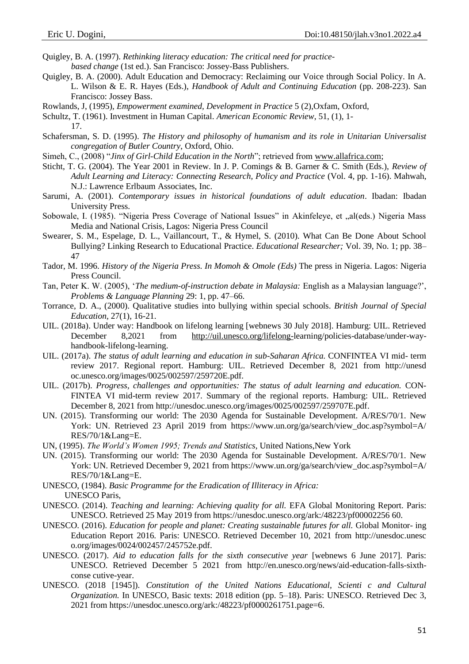- Quigley, B. A. (1997). *Rethinking literacy education: The critical need for practice*
	- *based change* (1st ed.). San Francisco: Jossey-Bass Publishers.
- Quigley, B. A. (2000). Adult Education and Democracy: Reclaiming our Voice through Social Policy. In A. L. Wilson & E. R. Hayes (Eds.), *Handbook of Adult and Continuing Education* (pp. 208-223). San Francisco: Jossey Bass.
- Rowlands, J, (1995), *Empowerment examined, Development in Practice* 5 (2),Oxfam, Oxford,
- Schultz, T. (1961). Investment in Human Capital*. American Economic Review*, 51, (1), 1-

17.

- Schafersman, S. D. (1995). *The History and philosophy of humanism and its role in Unitarian Universalist congregation of Butler Country*, Oxford, Ohio.
- Simeh, C., (2008) "*Jinx of Girl-Child Education in the North*"; retrieved from [www.allafrica.com;](http://www.allafrica.com/)
- Sticht, T. G. (2004). The Year 2001 in Review. In J. P. Comings & B. Garner & C. Smith (Eds.), *Review of Adult Learning and Literacy: Connecting Research, Policy and Practice* (Vol. 4, pp. 1-16). Mahwah, N.J.: Lawrence Erlbaum Associates, Inc.
- Sarumi, A. (2001). *Contemporary issues in historical foundations of adult education*. Ibadan: Ibadan University Press.
- Sobowale, I. (1985). "Nigeria Press Coverage of National Issues" in Akinfeleye, et "al(eds.) Nigeria Mass Media and National Crisis, Lagos: Nigeria Press Council
- Swearer, S. M., Espelage, D. L., Vaillancourt, T., & Hymel, S. (2010). What Can Be Done About School Bullying? Linking Research to Educational Practice. *Educational Researcher;* Vol. 39, No. 1; pp. 38– 47
- Tador, M. 1996. *History of the Nigeria Press. In Momoh & Omole (Eds)* The press in Nigeria. Lagos: Nigeria Press Council.
- Tan, Peter K. W. (2005), '*The medium-of-instruction debate in Malaysia:* English as a Malaysian language?', *Problems & Language Planning* 29: 1, pp. 47–66.
- Torrance, D. A., (2000). Qualitative studies into bullying within special schools. *British Journal of Special Education,* 27(1), 16-21.
- UIL. (2018a). Under way: Handbook on lifelong learning [webnews 30 July 2018]. Hamburg: UIL. Retrieved December 8,2021 from [http://uil.unesco.org/lifelong-l](http://uil.unesco.org/lifelong-)earning/policies-database/under-wayhandbook-lifelong-learning.
- UIL. (2017a). *The status of adult learning and education in sub-Saharan Africa.* CONFINTEA VI mid- term review 2017. Regional report. Hamburg: UIL. Retrieved December 8, 2021 from http://unesd oc.unesco.org/images/0025/002597/259720E.pdf.
- UIL. (2017b). Progress, challenges and opportunities: The status of adult learning and education. CON-FINTEA VI mid-term review 2017. Summary of the regional reports. Hamburg: UIL. Retrieved December 8, 2021 from http://unesdoc.unesco.org/images/0025/002597/259707E.pdf.
- UN. (2015). Transforming our world: The 2030 Agenda for Sustainable Development. A/RES/70/1. New York: UN. Retrieved 23 April 2019 from https://www.un.org/ga/search/view\_doc.asp?symbol=A/ RES/70/1&Lang=E.
- UN, (1995). *The World's Women 1995; Trends and Statistics*, United Nations,New York
- UN. (2015). Transforming our world: The 2030 Agenda for Sustainable Development. A/RES/70/1. New York: UN. Retrieved December 9, 2021 from https://www.un.org/ga/search/view\_doc.asp?symbol=A/ RES/70/1&Lang=E.
- UNESCO, (1984). *Basic Programme for the Eradication of Illiteracy in Africa:* UNESCO Paris,
- UNESCO. (2014). *Teaching and learning: Achieving quality for all.* EFA Global Monitoring Report. Paris: UNESCO. Retrieved 25 May 2019 from https://unesdoc.unesco.org/ark:/48223/pf00002256 60.
- UNESCO. (2016). *Education for people and planet: Creating sustainable futures for all.* Global Monitor- ing Education Report 2016. Paris: UNESCO. Retrieved December 10, 2021 from http://unesdoc.unesc o.org/images/0024/002457/245752e.pdf.
- UNESCO. (2017). *Aid to education falls for the sixth consecutive year* [webnews 6 June 2017]. Paris: UNESCO. Retrieved December 5 2021 from http://en.unesco.org/news/aid-education-falls-sixthconse cutive-year.
- UNESCO. (2018 [1945]). *Constitution of the United Nations Educational, Scienti c and Cultural Organization.* In UNESCO, Basic texts: 2018 edition (pp. 5–18). Paris: UNESCO. Retrieved Dec 3, 2021 from https://unesdoc.unesco.org/ark:/48223/pf0000261751.page=6.